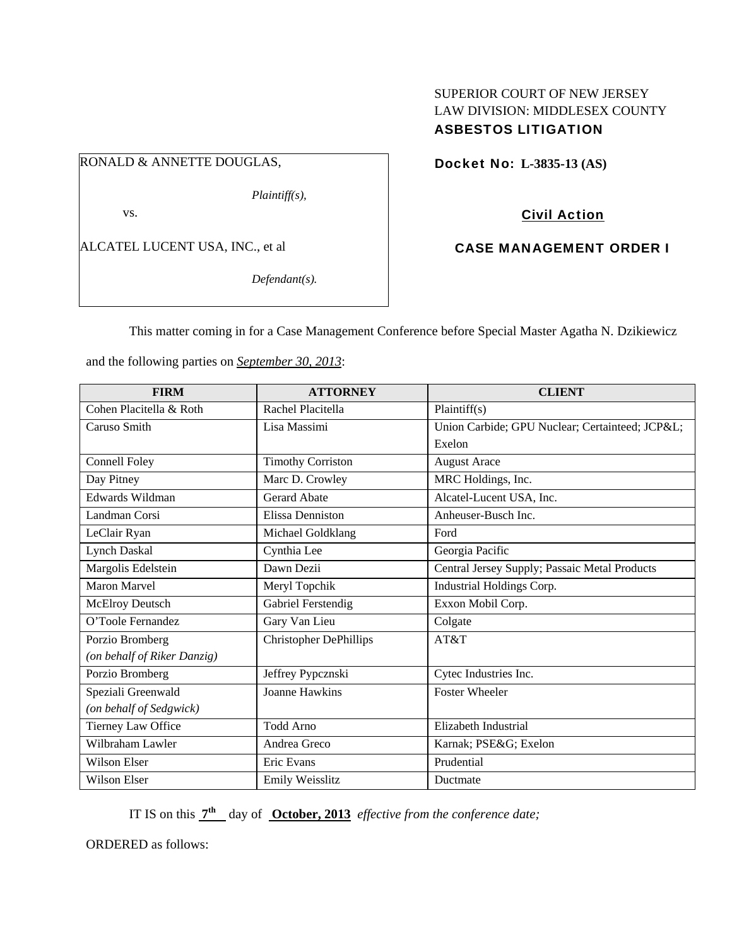## SUPERIOR COURT OF NEW JERSEY LAW DIVISION: MIDDLESEX COUNTY ASBESTOS LITIGATION

RONALD & ANNETTE DOUGLAS,

*Plaintiff(s),* 

vs.

ALCATEL LUCENT USA, INC., et al

*Defendant(s).* 

Docket No: **L-3835-13 (AS)** 

Civil Action

CASE MANAGEMENT ORDER I

This matter coming in for a Case Management Conference before Special Master Agatha N. Dzikiewicz

and the following parties on *September 30, 2013*:

| <b>FIRM</b>                 | <b>ATTORNEY</b>               | <b>CLIENT</b>                                  |
|-----------------------------|-------------------------------|------------------------------------------------|
| Cohen Placitella & Roth     | Rachel Placitella             | Plaintiff(s)                                   |
| Caruso Smith                | Lisa Massimi                  | Union Carbide; GPU Nuclear; Certainteed; JCP&L |
|                             |                               | Exelon                                         |
| Connell Foley               | <b>Timothy Corriston</b>      | <b>August Arace</b>                            |
| Day Pitney                  | Marc D. Crowley               | MRC Holdings, Inc.                             |
| Edwards Wildman             | <b>Gerard Abate</b>           | Alcatel-Lucent USA, Inc.                       |
| Landman Corsi               | <b>Elissa Denniston</b>       | Anheuser-Busch Inc.                            |
| LeClair Ryan                | Michael Goldklang             | Ford                                           |
| <b>Lynch Daskal</b>         | Cynthia Lee                   | Georgia Pacific                                |
| Margolis Edelstein          | Dawn Dezii                    | Central Jersey Supply; Passaic Metal Products  |
| <b>Maron Marvel</b>         | Meryl Topchik                 | Industrial Holdings Corp.                      |
| McElroy Deutsch             | <b>Gabriel Ferstendig</b>     | Exxon Mobil Corp.                              |
| O'Toole Fernandez           | Gary Van Lieu                 | Colgate                                        |
| Porzio Bromberg             | <b>Christopher DePhillips</b> | AT&T                                           |
| (on behalf of Riker Danzig) |                               |                                                |
| Porzio Bromberg             | Jeffrey Pypcznski             | Cytec Industries Inc.                          |
| Speziali Greenwald          | <b>Joanne Hawkins</b>         | <b>Foster Wheeler</b>                          |
| (on behalf of Sedgwick)     |                               |                                                |
| Tierney Law Office          | <b>Todd Arno</b>              | Elizabeth Industrial                           |
| Wilbraham Lawler            | Andrea Greco                  | Karnak; PSE&G Exelon                           |
| Wilson Elser                | Eric Evans                    | Prudential                                     |
| Wilson Elser                | <b>Emily Weisslitz</b>        | Ductmate                                       |

IT IS on this  $7^{\text{th}}$  day of **October, 2013** *effective from the conference date;* 

ORDERED as follows: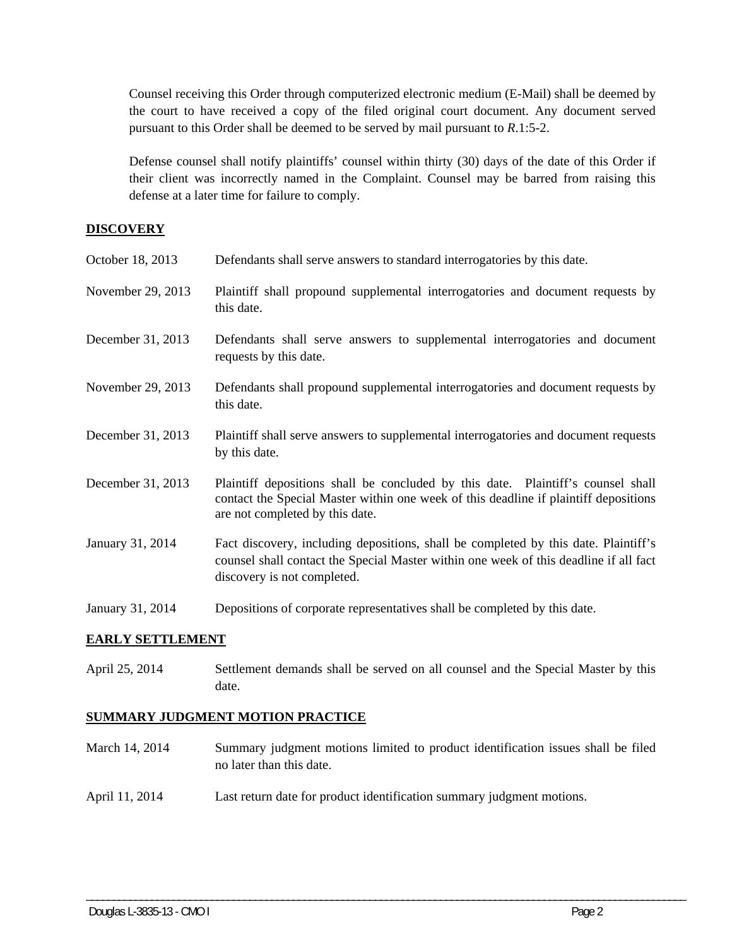Counsel receiving this Order through computerized electronic medium (E-Mail) shall be deemed by the court to have received a copy of the filed original court document. Any document served pursuant to this Order shall be deemed to be served by mail pursuant to *R*.1:5-2.

Defense counsel shall notify plaintiffs' counsel within thirty (30) days of the date of this Order if their client was incorrectly named in the Complaint. Counsel may be barred from raising this defense at a later time for failure to comply.

## **DISCOVERY**

| October 18, 2013  | Defendants shall serve answers to standard interrogatories by this date.                                                                                                                                    |
|-------------------|-------------------------------------------------------------------------------------------------------------------------------------------------------------------------------------------------------------|
| November 29, 2013 | Plaintiff shall propound supplemental interrogatories and document requests by<br>this date.                                                                                                                |
| December 31, 2013 | Defendants shall serve answers to supplemental interrogatories and document<br>requests by this date.                                                                                                       |
| November 29, 2013 | Defendants shall propound supplemental interrogatories and document requests by<br>this date.                                                                                                               |
| December 31, 2013 | Plaintiff shall serve answers to supplemental interrogatories and document requests<br>by this date.                                                                                                        |
| December 31, 2013 | Plaintiff depositions shall be concluded by this date. Plaintiff's counsel shall<br>contact the Special Master within one week of this deadline if plaintiff depositions<br>are not completed by this date. |
| January 31, 2014  | Fact discovery, including depositions, shall be completed by this date. Plaintiff's<br>counsel shall contact the Special Master within one week of this deadline if all fact<br>discovery is not completed. |
| January 31, 2014  | Depositions of corporate representatives shall be completed by this date.                                                                                                                                   |

#### **EARLY SETTLEMENT**

April 25, 2014 Settlement demands shall be served on all counsel and the Special Master by this date.

## **SUMMARY JUDGMENT MOTION PRACTICE**

March 14, 2014 Summary judgment motions limited to product identification issues shall be filed no later than this date.

\_\_\_\_\_\_\_\_\_\_\_\_\_\_\_\_\_\_\_\_\_\_\_\_\_\_\_\_\_\_\_\_\_\_\_\_\_\_\_\_\_\_\_\_\_\_\_\_\_\_\_\_\_\_\_\_\_\_\_\_\_\_\_\_\_\_\_\_\_\_\_\_\_\_\_\_\_\_\_\_\_\_\_\_\_\_\_\_\_\_\_\_\_\_\_\_\_\_\_\_\_\_\_\_\_\_\_\_\_\_

April 11, 2014 Last return date for product identification summary judgment motions.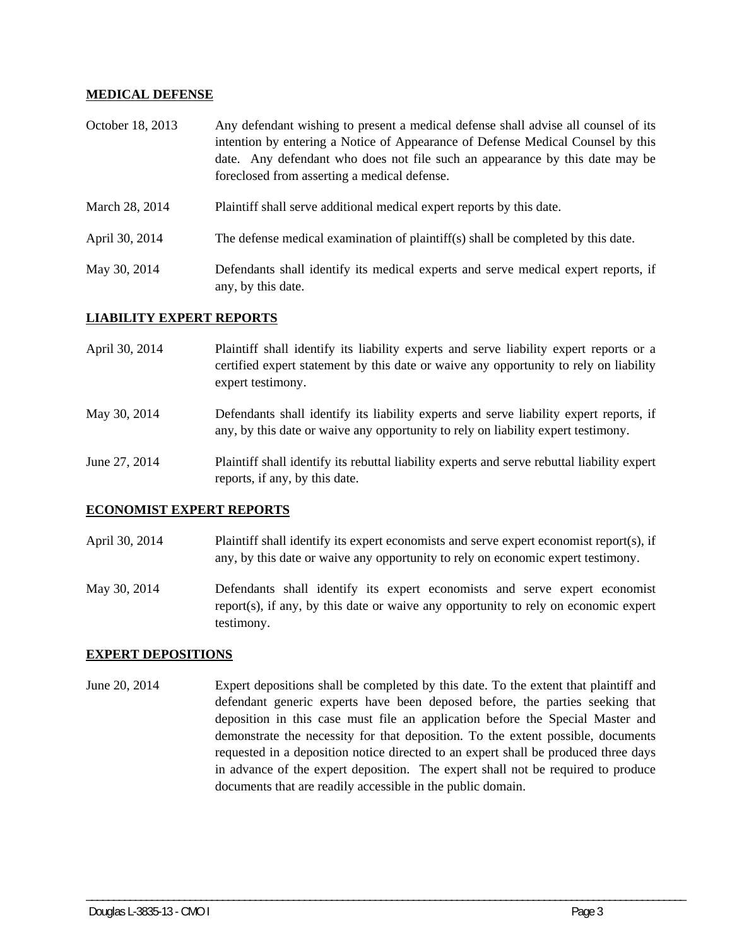#### **MEDICAL DEFENSE**

| October 18, 2013 | Any defendant wishing to present a medical defense shall advise all counsel of its<br>intention by entering a Notice of Appearance of Defense Medical Counsel by this<br>date. Any defendant who does not file such an appearance by this date may be<br>foreclosed from asserting a medical defense. |
|------------------|-------------------------------------------------------------------------------------------------------------------------------------------------------------------------------------------------------------------------------------------------------------------------------------------------------|
| March 28, 2014   | Plaintiff shall serve additional medical expert reports by this date.                                                                                                                                                                                                                                 |
| April 30, 2014   | The defense medical examination of plaintiff(s) shall be completed by this date.                                                                                                                                                                                                                      |

May 30, 2014 Defendants shall identify its medical experts and serve medical expert reports, if any, by this date.

## **LIABILITY EXPERT REPORTS**

- April 30, 2014 Plaintiff shall identify its liability experts and serve liability expert reports or a certified expert statement by this date or waive any opportunity to rely on liability expert testimony.
- May 30, 2014 Defendants shall identify its liability experts and serve liability expert reports, if any, by this date or waive any opportunity to rely on liability expert testimony.
- June 27, 2014 Plaintiff shall identify its rebuttal liability experts and serve rebuttal liability expert reports, if any, by this date.

#### **ECONOMIST EXPERT REPORTS**

- April 30, 2014 Plaintiff shall identify its expert economists and serve expert economist report(s), if any, by this date or waive any opportunity to rely on economic expert testimony.
- May 30, 2014 Defendants shall identify its expert economists and serve expert economist report(s), if any, by this date or waive any opportunity to rely on economic expert testimony.

#### **EXPERT DEPOSITIONS**

June 20, 2014 Expert depositions shall be completed by this date. To the extent that plaintiff and defendant generic experts have been deposed before, the parties seeking that deposition in this case must file an application before the Special Master and demonstrate the necessity for that deposition. To the extent possible, documents requested in a deposition notice directed to an expert shall be produced three days in advance of the expert deposition. The expert shall not be required to produce documents that are readily accessible in the public domain.

\_\_\_\_\_\_\_\_\_\_\_\_\_\_\_\_\_\_\_\_\_\_\_\_\_\_\_\_\_\_\_\_\_\_\_\_\_\_\_\_\_\_\_\_\_\_\_\_\_\_\_\_\_\_\_\_\_\_\_\_\_\_\_\_\_\_\_\_\_\_\_\_\_\_\_\_\_\_\_\_\_\_\_\_\_\_\_\_\_\_\_\_\_\_\_\_\_\_\_\_\_\_\_\_\_\_\_\_\_\_